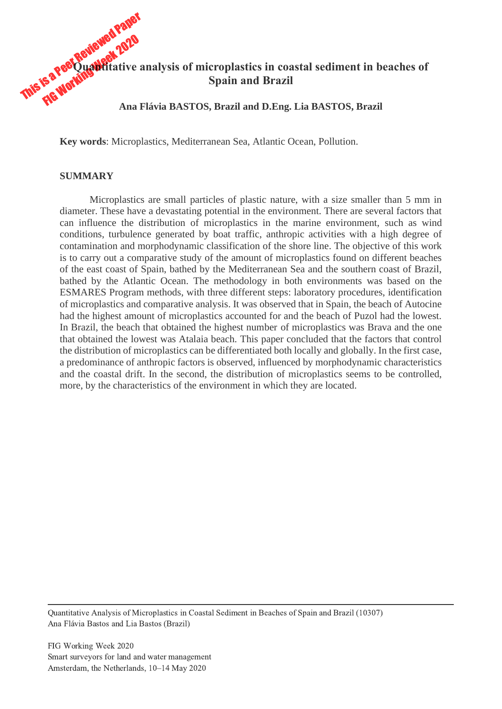

**Key words**: Microplastics, Mediterranean Sea, Atlantic Ocean, Pollution.

## **SUMMARY**

Microplastics are small particles of plastic nature, with a size smaller than 5 mm in diameter. These have a devastating potential in the environment. There are several factors that can influence the distribution of microplastics in the marine environment, such as wind conditions, turbulence generated by boat traffic, anthropic activities with a high degree of contamination and morphodynamic classification of the shore line. The objective of this work is to carry out a comparative study of the amount of microplastics found on different beaches of the east coast of Spain, bathed by the Mediterranean Sea and the southern coast of Brazil, bathed by the Atlantic Ocean. The methodology in both environments was based on the ESMARES Program methods, with three different steps: laboratory procedures, identification of microplastics and comparative analysis. It was observed that in Spain, the beach of Autocine had the highest amount of microplastics accounted for and the beach of Puzol had the lowest. In Brazil, the beach that obtained the highest number of microplastics was Brava and the one that obtained the lowest was Atalaia beach. This paper concluded that the factors that control the distribution of microplastics can be differentiated both locally and globally. In the first case, a predominance of anthropic factors is observed, influenced by morphodynamic characteristics and the coastal drift. In the second, the distribution of microplastics seems to be controlled, more, by the characteristics of the environment in which they are located.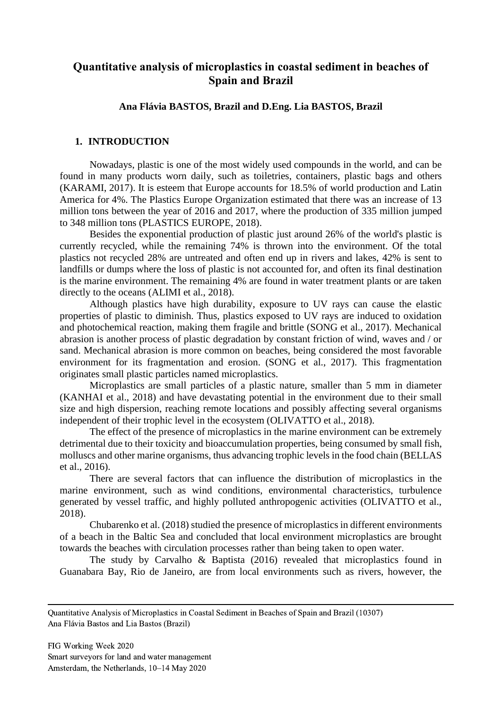# **Quantitative analysis of microplastics in coastal sediment in beaches of Spain and Brazil**

## **Ana Flávia BASTOS, Brazil and D.Eng. Lia BASTOS, Brazil**

## **1. INTRODUCTION**

Nowadays, plastic is one of the most widely used compounds in the world, and can be found in many products worn daily, such as toiletries, containers, plastic bags and others (KARAMI, 2017). It is esteem that Europe accounts for 18.5% of world production and Latin America for 4%. The Plastics Europe Organization estimated that there was an increase of 13 million tons between the year of 2016 and 2017, where the production of 335 million jumped to 348 million tons (PLASTICS EUROPE, 2018).

Besides the exponential production of plastic just around 26% of the world's plastic is currently recycled, while the remaining 74% is thrown into the environment. Of the total plastics not recycled 28% are untreated and often end up in rivers and lakes, 42% is sent to landfills or dumps where the loss of plastic is not accounted for, and often its final destination is the marine environment. The remaining 4% are found in water treatment plants or are taken directly to the oceans (ALIMI et al., 2018).

Although plastics have high durability, exposure to UV rays can cause the elastic properties of plastic to diminish. Thus, plastics exposed to UV rays are induced to oxidation and photochemical reaction, making them fragile and brittle (SONG et al., 2017). Mechanical abrasion is another process of plastic degradation by constant friction of wind, waves and / or sand. Mechanical abrasion is more common on beaches, being considered the most favorable environment for its fragmentation and erosion. (SONG et al., 2017). This fragmentation originates small plastic particles named microplastics.

Microplastics are small particles of a plastic nature, smaller than 5 mm in diameter (KANHAI et al., 2018) and have devastating potential in the environment due to their small size and high dispersion, reaching remote locations and possibly affecting several organisms independent of their trophic level in the ecosystem (OLIVATTO et al., 2018).

The effect of the presence of microplastics in the marine environment can be extremely detrimental due to their toxicity and bioaccumulation properties, being consumed by small fish, molluscs and other marine organisms, thus advancing trophic levels in the food chain (BELLAS et al., 2016).

There are several factors that can influence the distribution of microplastics in the marine environment, such as wind conditions, environmental characteristics, turbulence generated by vessel traffic, and highly polluted anthropogenic activities (OLIVATTO et al., 2018).

Chubarenko et al. (2018) studied the presence of microplastics in different environments of a beach in the Baltic Sea and concluded that local environment microplastics are brought towards the beaches with circulation processes rather than being taken to open water.

The study by Carvalho & Baptista (2016) revealed that microplastics found in Guanabara Bay, Rio de Janeiro, are from local environments such as rivers, however, the

Quantitative Analysis of Microplastics in Coastal Sediment in Beaches of Spain and Brazil (10307) Ana Flávia Bastos and Lia Bastos (Brazil)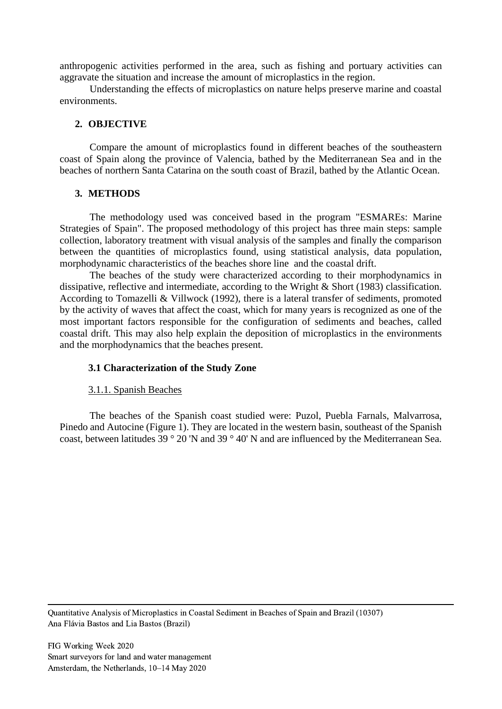anthropogenic activities performed in the area, such as fishing and portuary activities can aggravate the situation and increase the amount of microplastics in the region.

Understanding the effects of microplastics on nature helps preserve marine and coastal environments.

#### **2. OBJECTIVE**

Compare the amount of microplastics found in different beaches of the southeastern coast of Spain along the province of Valencia, bathed by the Mediterranean Sea and in the beaches of northern Santa Catarina on the south coast of Brazil, bathed by the Atlantic Ocean.

### **3. METHODS**

The methodology used was conceived based in the program "ESMAREs: Marine Strategies of Spain". The proposed methodology of this project has three main steps: sample collection, laboratory treatment with visual analysis of the samples and finally the comparison between the quantities of microplastics found, using statistical analysis, data population, morphodynamic characteristics of the beaches shore line and the coastal drift.

The beaches of the study were characterized according to their morphodynamics in dissipative, reflective and intermediate, according to the Wright & Short (1983) classification. According to Tomazelli & Villwock (1992), there is a lateral transfer of sediments, promoted by the activity of waves that affect the coast, which for many years is recognized as one of the most important factors responsible for the configuration of sediments and beaches, called coastal drift. This may also help explain the deposition of microplastics in the environments and the morphodynamics that the beaches present.

### **3.1 Characterization of the Study Zone**

### 3.1.1. Spanish Beaches

The beaches of the Spanish coast studied were: Puzol, Puebla Farnals, Malvarrosa, Pinedo and Autocine (Figure 1). They are located in the western basin, southeast of the Spanish coast, between latitudes 39 ° 20 'N and 39 ° 40' N and are influenced by the Mediterranean Sea.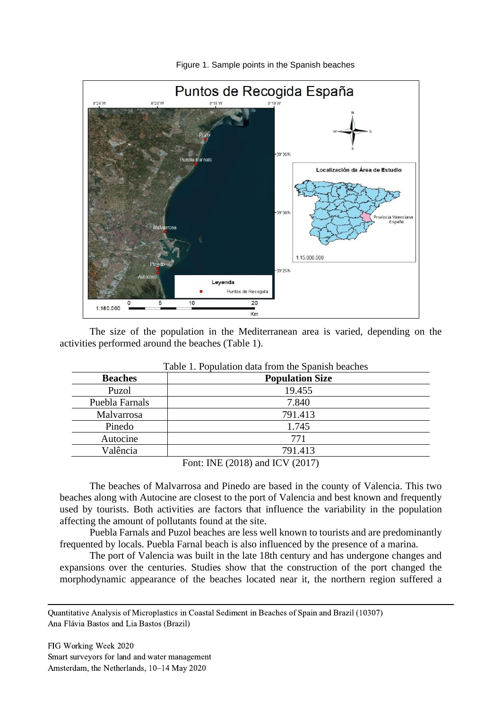

Figure 1. Sample points in the Spanish beaches

The size of the population in the Mediterranean area is varied, depending on the activities performed around the beaches (Table 1).

| I avie 1. I opulation data from the Spallish beaches |                                                  |  |  |  |  |
|------------------------------------------------------|--------------------------------------------------|--|--|--|--|
| <b>Beaches</b>                                       | <b>Population Size</b>                           |  |  |  |  |
| Puzol                                                | 19.455                                           |  |  |  |  |
| Puebla Farnals                                       | 7.840                                            |  |  |  |  |
| Malvarrosa                                           | 791.413                                          |  |  |  |  |
| Pinedo                                               | 1.745                                            |  |  |  |  |
| Autocine                                             | 771                                              |  |  |  |  |
| Valência                                             | 791.413                                          |  |  |  |  |
|                                                      | $\Gamma_{\text{cont}}$ INE (2018) and ICV (2017) |  |  |  |  |

|  | Table 1. Population data from the Spanish beaches |  |  |  |  |
|--|---------------------------------------------------|--|--|--|--|
|  |                                                   |  |  |  |  |

Font: INE (2018) and ICV (2017)

The beaches of Malvarrosa and Pinedo are based in the county of Valencia. This two beaches along with Autocine are closest to the port of Valencia and best known and frequently used by tourists. Both activities are factors that influence the variability in the population affecting the amount of pollutants found at the site.

Puebla Farnals and Puzol beaches are less well known to tourists and are predominantly frequented by locals. Puebla Farnal beach is also influenced by the presence of a marina.

The port of Valencia was built in the late 18th century and has undergone changes and expansions over the centuries. Studies show that the construction of the port changed the morphodynamic appearance of the beaches located near it, the northern region suffered a

Quantitative Analysis of Microplastics in Coastal Sediment in Beaches of Spain and Brazil (10307) Ana Flávia Bastos and Lia Bastos (Brazil)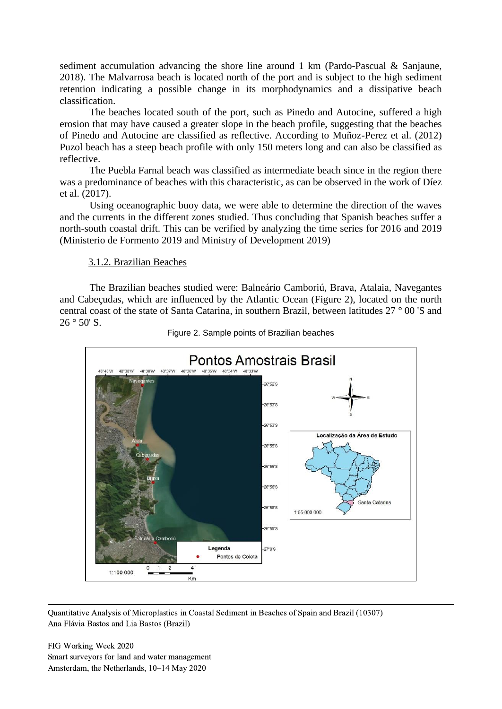sediment accumulation advancing the shore line around 1 km (Pardo-Pascual & Sanjaune, 2018). The Malvarrosa beach is located north of the port and is subject to the high sediment retention indicating a possible change in its morphodynamics and a dissipative beach classification.

The beaches located south of the port, such as Pinedo and Autocine, suffered a high erosion that may have caused a greater slope in the beach profile, suggesting that the beaches of Pinedo and Autocine are classified as reflective. According to Muñoz-Perez et al. (2012) Puzol beach has a steep beach profile with only 150 meters long and can also be classified as reflective.

The Puebla Farnal beach was classified as intermediate beach since in the region there was a predominance of beaches with this characteristic, as can be observed in the work of Díez et al. (2017).

Using oceanographic buoy data, we were able to determine the direction of the waves and the currents in the different zones studied. Thus concluding that Spanish beaches suffer a north-south coastal drift. This can be verified by analyzing the time series for 2016 and 2019 (Ministerio de Formento 2019 and Ministry of Development 2019)

#### 3.1.2. Brazilian Beaches

The Brazilian beaches studied were: Balneário Camboriú, Brava, Atalaia, Navegantes and Cabeçudas, which are influenced by the Atlantic Ocean (Figure 2), located on the north central coast of the state of Santa Catarina, in southern Brazil, between latitudes 27 ° 00 'S and  $26°50'$  S.



Figure 2. Sample points of Brazilian beaches

Quantitative Analysis of Microplastics in Coastal Sediment in Beaches of Spain and Brazil (10307) Ana Flávia Bastos and Lia Bastos (Brazil)

FIG Working Week 2020 Smart surveyors for land and water management Amsterdam, the Netherlands, 10–14 May 2020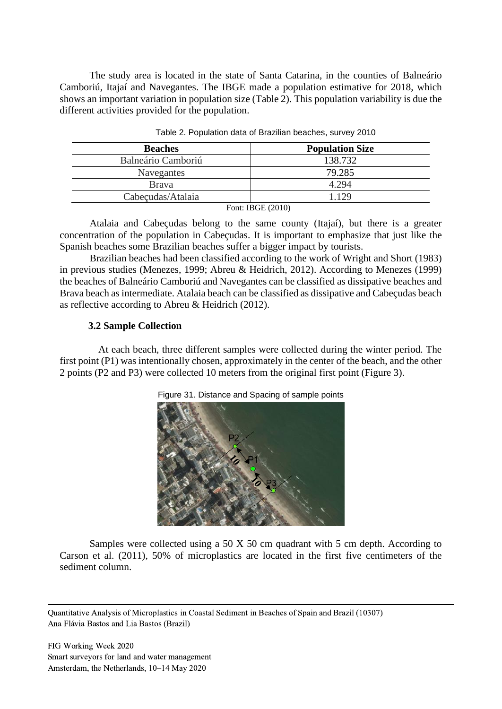The study area is located in the state of Santa Catarina, in the counties of Balneário Camboriú, Itajaí and Navegantes. The IBGE made a population estimative for 2018, which shows an important variation in population size (Table 2). This population variability is due the different activities provided for the population.

| <b>Beaches</b>     | <b>Population Size</b>         |
|--------------------|--------------------------------|
| Balneário Camboriú | 138.732                        |
| Navegantes         | 79.285                         |
| <b>Brava</b>       | 4.294                          |
| Cabeçudas/Atalaia  | 1.129                          |
|                    | $E_{\text{out}}$ , IDCE (2010) |

|  | Table 2. Population data of Brazilian beaches, survey 2010 |  |  |  |
|--|------------------------------------------------------------|--|--|--|
|  |                                                            |  |  |  |

Font: IBGE (2010)

Atalaia and Cabeçudas belong to the same county (Itajaí), but there is a greater concentration of the population in Cabeçudas. It is important to emphasize that just like the Spanish beaches some Brazilian beaches suffer a bigger impact by tourists.

Brazilian beaches had been classified according to the work of Wright and Short (1983) in previous studies (Menezes, 1999; Abreu & Heidrich, 2012). According to Menezes (1999) the beaches of Balneário Camboriú and Navegantes can be classified as dissipative beaches and Brava beach as intermediate. Atalaia beach can be classified as dissipative and Cabeçudas beach as reflective according to Abreu & Heidrich (2012).

## **3.2 Sample Collection**

At each beach, three different samples were collected during the winter period. The first point (P1) was intentionally chosen, approximately in the center of the beach, and the other 2 points (P2 and P3) were collected 10 meters from the original first point (Figure 3).





Samples were collected using a 50 X 50 cm quadrant with 5 cm depth. According to Carson et al. (2011), 50% of microplastics are located in the first five centimeters of the sediment column.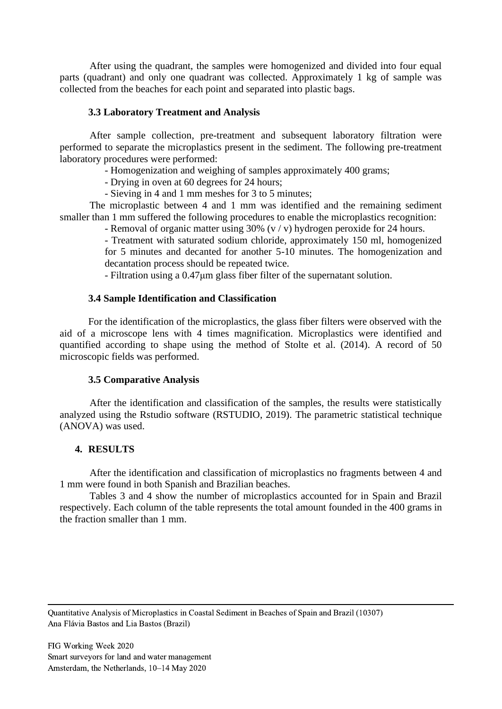After using the quadrant, the samples were homogenized and divided into four equal parts (quadrant) and only one quadrant was collected. Approximately 1 kg of sample was collected from the beaches for each point and separated into plastic bags.

## **3.3 Laboratory Treatment and Analysis**

After sample collection, pre-treatment and subsequent laboratory filtration were performed to separate the microplastics present in the sediment. The following pre-treatment laboratory procedures were performed:

- Homogenization and weighing of samples approximately 400 grams;

- Drying in oven at 60 degrees for 24 hours;
- Sieving in 4 and 1 mm meshes for 3 to 5 minutes;

The microplastic between 4 and 1 mm was identified and the remaining sediment smaller than 1 mm suffered the following procedures to enable the microplastics recognition:

- Removal of organic matter using 30% (v / v) hydrogen peroxide for 24 hours.

- Treatment with saturated sodium chloride, approximately 150 ml, homogenized for 5 minutes and decanted for another 5-10 minutes. The homogenization and decantation process should be repeated twice.

- Filtration using a 0.47μm glass fiber filter of the supernatant solution.

## **3.4 Sample Identification and Classification**

For the identification of the microplastics, the glass fiber filters were observed with the aid of a microscope lens with 4 times magnification. Microplastics were identified and quantified according to shape using the method of Stolte et al. (2014). A record of 50 microscopic fields was performed.

## **3.5 Comparative Analysis**

After the identification and classification of the samples, the results were statistically analyzed using the Rstudio software (RSTUDIO, 2019). The parametric statistical technique (ANOVA) was used.

## **4. RESULTS**

After the identification and classification of microplastics no fragments between 4 and 1 mm were found in both Spanish and Brazilian beaches.

Tables 3 and 4 show the number of microplastics accounted for in Spain and Brazil respectively. Each column of the table represents the total amount founded in the 400 grams in the fraction smaller than 1 mm.

Quantitative Analysis of Microplastics in Coastal Sediment in Beaches of Spain and Brazil (10307) Ana Flávia Bastos and Lia Bastos (Brazil)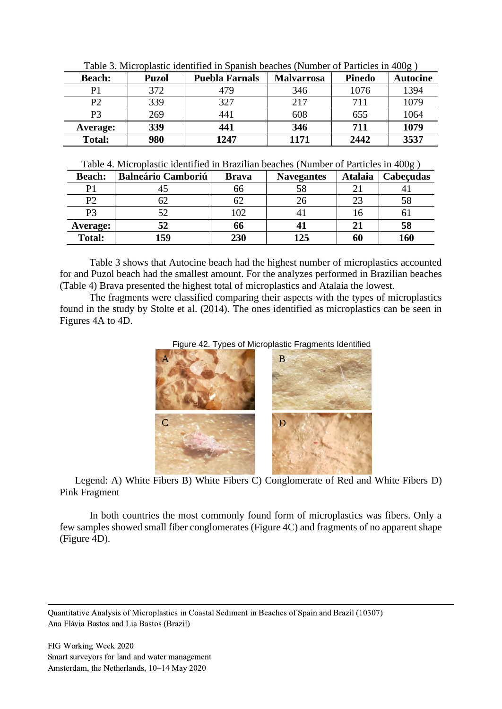|               | Twore started plastic rectative in spatism ocacinos (trainoci of Farticies in 199 $\epsilon$ ) |                       |            |               |                 |  |  |  |
|---------------|------------------------------------------------------------------------------------------------|-----------------------|------------|---------------|-----------------|--|--|--|
| <b>Beach:</b> | <b>Puzol</b>                                                                                   | <b>Puebla Farnals</b> | Malvarrosa | <b>Pinedo</b> | <b>Autocine</b> |  |  |  |
|               | 372                                                                                            | 479                   | 346        | 1076          | 1394            |  |  |  |
| P2            | 339                                                                                            | 327                   | 217        | 711           | 1079            |  |  |  |
| P3            | 269                                                                                            | 441                   | 608        | 655           | 1064            |  |  |  |
| Average:      | 339                                                                                            | 441                   | 346        | 711           | 1079            |  |  |  |
| <b>Total:</b> | 980                                                                                            | 1247                  | 1171       | 2442          | 3537            |  |  |  |

Table 3. Microplastic identified in Spanish beaches (Number of Particles in 400g )

Table 4. Microplastic identified in Brazilian beaches (Number of Particles in 400g )

| <b>Beach:</b>  | <b>Balneário Camboriú</b> | <b>Brava</b> | <b>Navegantes</b> | <b>Atalaia</b> | Cabecudas |
|----------------|---------------------------|--------------|-------------------|----------------|-----------|
| D              |                           | oo           | 58                |                |           |
| P <sub>2</sub> | ΟZ                        |              | 26                |                |           |
| P3             |                           | 102          |                   | 10             | O J       |
| Average:       | 52                        | 66           |                   |                | 58        |
| <b>Total:</b>  | 159                       | 230          | 125               | 60             | 160       |

Table 3 shows that Autocine beach had the highest number of microplastics accounted for and Puzol beach had the smallest amount. For the analyzes performed in Brazilian beaches (Table 4) Brava presented the highest total of microplastics and Atalaia the lowest.

The fragments were classified comparing their aspects with the types of microplastics found in the study by Stolte et al. (2014). The ones identified as microplastics can be seen in Figures 4A to 4D.





Legend: A) White Fibers B) White Fibers C) Conglomerate of Red and White Fibers D) Pink Fragment

In both countries the most commonly found form of microplastics was fibers. Only a few samples showed small fiber conglomerates (Figure 4C) and fragments of no apparent shape (Figure 4D).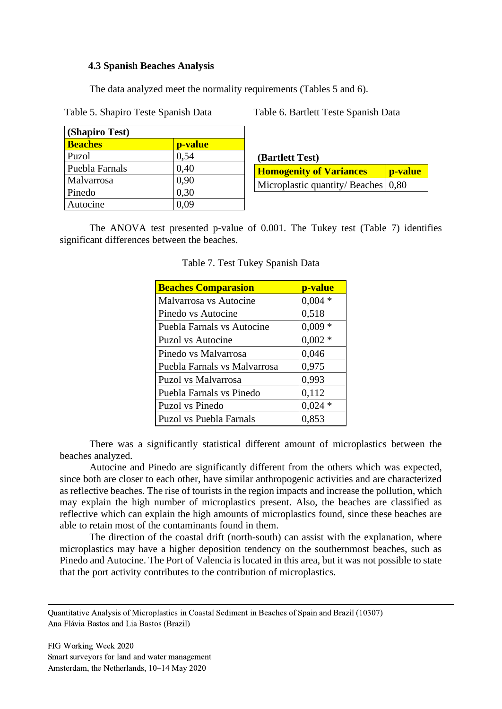## **4.3 Spanish Beaches Analysis**

The data analyzed meet the normality requirements (Tables 5 and 6).

Table 5. Shapiro Teste Spanish Data Table 6. Bartlett Teste Spanish Data

| (Shapiro Test) |         |  |  |  |  |
|----------------|---------|--|--|--|--|
| <b>Beaches</b> | p-value |  |  |  |  |
| Puzol          | 0,54    |  |  |  |  |
| Puebla Farnals | 0,40    |  |  |  |  |
| Malvarrosa     | 0,90    |  |  |  |  |
| Pinedo         | 0,30    |  |  |  |  |
| Autocine       | 0.09    |  |  |  |  |

**(Bartlett Test) Homogenity of Variances Provident** Microplastic quantity/ Beaches  $\vert 0.80 \rangle$ 

The ANOVA test presented p-value of 0.001. The Tukey test (Table 7) identifies significant differences between the beaches.

| <b>Beaches Comparasion</b>        | p-value  |
|-----------------------------------|----------|
| Malvarrosa vs Autocine            | $0,004*$ |
| Pinedo vs Autocine                | 0,518    |
| <b>Puebla Farnals vs Autocine</b> | $0,009*$ |
| Puzol vs Autocine                 | $0,002*$ |
| Pinedo vs Malvarrosa              | 0,046    |
| Puebla Farnals vs Malvarrosa      | 0,975    |
| Puzol vs Malvarrosa               | 0,993    |
| Puebla Farnals vs Pinedo          | 0,112    |
| Puzol vs Pinedo                   | $0,024*$ |
| <b>Puzol vs Puebla Farnals</b>    | 0,853    |

|  | Table 7. Test Tukey Spanish Data |  |  |
|--|----------------------------------|--|--|
|  |                                  |  |  |

There was a significantly statistical different amount of microplastics between the beaches analyzed.

Autocine and Pinedo are significantly different from the others which was expected, since both are closer to each other, have similar anthropogenic activities and are characterized as reflective beaches. The rise of tourists in the region impacts and increase the pollution, which may explain the high number of microplastics present. Also, the beaches are classified as reflective which can explain the high amounts of microplastics found, since these beaches are able to retain most of the contaminants found in them.

The direction of the coastal drift (north-south) can assist with the explanation, where microplastics may have a higher deposition tendency on the southernmost beaches, such as Pinedo and Autocine. The Port of Valencia is located in this area, but it was not possible to state that the port activity contributes to the contribution of microplastics.

Quantitative Analysis of Microplastics in Coastal Sediment in Beaches of Spain and Brazil (10307) Ana Flávia Bastos and Lia Bastos (Brazil)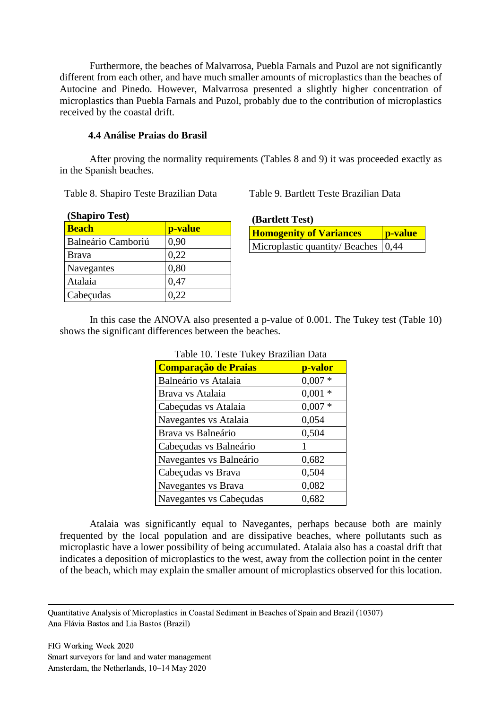Furthermore, the beaches of Malvarrosa, Puebla Farnals and Puzol are not significantly different from each other, and have much smaller amounts of microplastics than the beaches of Autocine and Pinedo. However, Malvarrosa presented a slightly higher concentration of microplastics than Puebla Farnals and Puzol, probably due to the contribution of microplastics received by the coastal drift.

## **4.4 Análise Praias do Brasil**

After proving the normality requirements (Tables 8 and 9) it was proceeded exactly as in the Spanish beaches.

Table 8. Shapiro Teste Brazilian Data Table 9. Bartlett Teste Brazilian Data

| (Shapiro Test)     |         |  |  |  |  |  |
|--------------------|---------|--|--|--|--|--|
| <b>Beach</b>       | p-value |  |  |  |  |  |
| Balneário Camboriú | 0,90    |  |  |  |  |  |
| <b>Brava</b>       | 0,22    |  |  |  |  |  |
| Navegantes         | 0,80    |  |  |  |  |  |
| Atalaia            | 0,47    |  |  |  |  |  |
| Cabeçudas          | 0,22    |  |  |  |  |  |

| (Bartlett Test)                         |                 |
|-----------------------------------------|-----------------|
| <b>Homogenity of Variances</b>          | <b>p</b> -value |
| Microplastic quantity/ Beaches $(0,44)$ |                 |

In this case the ANOVA also presented a p-value of 0.001. The Tukey test (Table 10) shows the significant differences between the beaches.

| <b>Comparação de Praias</b> | p-valor  |
|-----------------------------|----------|
| Balneário vs Atalaia        | $0,007*$ |
| Brava vs Atalaia            | $0,001*$ |
| Cabeçudas vs Atalaia        | $0,007*$ |
| Navegantes vs Atalaia       | 0,054    |
| Brava vs Balneário          | 0,504    |
| Cabeçudas vs Balneário      |          |
| Navegantes vs Balneário     | 0,682    |
| Cabeçudas vs Brava          | 0,504    |
| Navegantes vs Brava         | 0,082    |
| Navegantes vs Cabeçudas     | 0,682    |

# Table 10. Teste Tukey Brazilian Data

Atalaia was significantly equal to Navegantes, perhaps because both are mainly frequented by the local population and are dissipative beaches, where pollutants such as microplastic have a lower possibility of being accumulated. Atalaia also has a coastal drift that indicates a deposition of microplastics to the west, away from the collection point in the center of the beach, which may explain the smaller amount of microplastics observed for this location.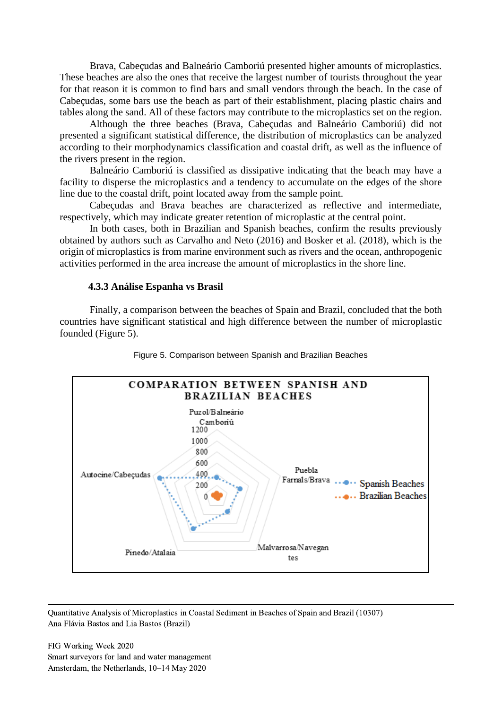Brava, Cabeçudas and Balneário Camboriú presented higher amounts of microplastics. These beaches are also the ones that receive the largest number of tourists throughout the year for that reason it is common to find bars and small vendors through the beach. In the case of Cabeçudas, some bars use the beach as part of their establishment, placing plastic chairs and tables along the sand. All of these factors may contribute to the microplastics set on the region.

Although the three beaches (Brava, Cabeçudas and Balneário Camboriú) did not presented a significant statistical difference, the distribution of microplastics can be analyzed according to their morphodynamics classification and coastal drift, as well as the influence of the rivers present in the region.

Balneário Camboriú is classified as dissipative indicating that the beach may have a facility to disperse the microplastics and a tendency to accumulate on the edges of the shore line due to the coastal drift, point located away from the sample point.

Cabeçudas and Brava beaches are characterized as reflective and intermediate, respectively, which may indicate greater retention of microplastic at the central point.

In both cases, both in Brazilian and Spanish beaches, confirm the results previously obtained by authors such as Carvalho and Neto (2016) and Bosker et al. (2018), which is the origin of microplastics is from marine environment such as rivers and the ocean, anthropogenic activities performed in the area increase the amount of microplastics in the shore line.

#### **4.3.3 Análise Espanha vs Brasil**

Finally, a comparison between the beaches of Spain and Brazil, concluded that the both countries have significant statistical and high difference between the number of microplastic founded (Figure 5).



Figure 5. Comparison between Spanish and Brazilian Beaches

Quantitative Analysis of Microplastics in Coastal Sediment in Beaches of Spain and Brazil (10307) Ana Flávia Bastos and Lia Bastos (Brazil)

FIG Working Week 2020 Smart surveyors for land and water management Amsterdam, the Netherlands, 10–14 May 2020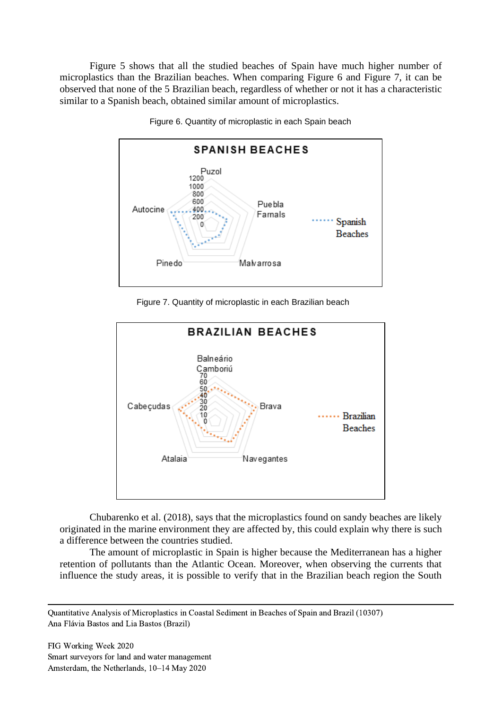Figure 5 shows that all the studied beaches of Spain have much higher number of microplastics than the Brazilian beaches. When comparing Figure 6 and Figure 7, it can be observed that none of the 5 Brazilian beach, regardless of whether or not it has a characteristic similar to a Spanish beach, obtained similar amount of microplastics.



Figure 6. Quantity of microplastic in each Spain beach

Figure 7. Quantity of microplastic in each Brazilian beach



Chubarenko et al. (2018), says that the microplastics found on sandy beaches are likely originated in the marine environment they are affected by, this could explain why there is such a difference between the countries studied.

The amount of microplastic in Spain is higher because the Mediterranean has a higher retention of pollutants than the Atlantic Ocean. Moreover, when observing the currents that influence the study areas, it is possible to verify that in the Brazilian beach region the South

Quantitative Analysis of Microplastics in Coastal Sediment in Beaches of Spain and Brazil (10307) Ana Flávia Bastos and Lia Bastos (Brazil)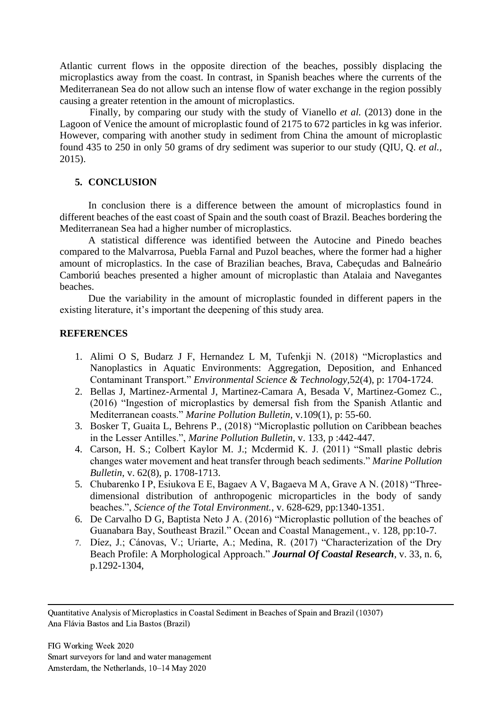Atlantic current flows in the opposite direction of the beaches, possibly displacing the microplastics away from the coast. In contrast, in Spanish beaches where the currents of the Mediterranean Sea do not allow such an intense flow of water exchange in the region possibly causing a greater retention in the amount of microplastics.

Finally, by comparing our study with the study of Vianello *et al.* (2013) done in the Lagoon of Venice the amount of microplastic found of 2175 to 672 particles in kg was inferior. However, comparing with another study in sediment from China the amount of microplastic found 435 to 250 in only 50 grams of dry sediment was superior to our study (QIU, Q. *et al.,*  2015).

## **5. CONCLUSION**

In conclusion there is a difference between the amount of microplastics found in different beaches of the east coast of Spain and the south coast of Brazil. Beaches bordering the Mediterranean Sea had a higher number of microplastics.

A statistical difference was identified between the Autocine and Pinedo beaches compared to the Malvarrosa, Puebla Farnal and Puzol beaches, where the former had a higher amount of microplastics. In the case of Brazilian beaches, Brava, Cabeçudas and Balneário Camboriú beaches presented a higher amount of microplastic than Atalaia and Navegantes beaches.

Due the variability in the amount of microplastic founded in different papers in the existing literature, it's important the deepening of this study area.

## **REFERENCES**

- 1. Alimi O S, Budarz J F, Hernandez L M, Tufenkji N. (2018) "Microplastics and Nanoplastics in Aquatic Environments: Aggregation, Deposition, and Enhanced Contaminant Transport." *Environmental Science & Technology,*52(4), p: 1704-1724.
- 2. Bellas J, Martinez-Armental J, Martinez-Camara A, Besada V, Martinez-Gomez C., (2016) "Ingestion of microplastics by demersal fish from the Spanish Atlantic and Mediterranean coasts." *Marine Pollution Bulletin,* v.109(1), p: 55-60.
- 3. Bosker T, Guaita L, Behrens P., (2018) "Microplastic pollution on Caribbean beaches in the Lesser Antilles.", *Marine Pollution Bulletin*, v. 133, p :442-447.
- 4. Carson, H. S.; Colbert Kaylor [M. J.; Mcdermid](https://www.sciencedirect.com/science/article/pii/S0025326X11003079#!) K. J. (2011) "Small plastic debris changes water movement and heat transfer through beach sediments." *Marine Pollution Bulletin*, v. 62(8), p. 1708-1713.
- 5. Chubarenko I P, Esiukova E E, Bagaev A V, Bagaeva M A, Grave A N. (2018) "Threedimensional distribution of anthropogenic microparticles in the body of sandy beaches.", *Science of the Total Environment.*, v. 628-629, pp:1340-1351.
- 6. De Carvalho D G, Baptista Neto J A. (2016) "Microplastic pollution of the beaches of Guanabara Bay, Southeast Brazil." Ocean and Coastal Management., v. 128, pp:10-7.
- 7. Díez, J.; Cánovas, V.; Uriarte, A.; Medina, R. (2017) "Characterization of the Dry Beach Profile: A Morphological Approach." *Journal Of Coastal Research*, v. 33, n. 6, p.1292-1304,

Quantitative Analysis of Microplastics in Coastal Sediment in Beaches of Spain and Brazil (10307) Ana Flávia Bastos and Lia Bastos (Brazil)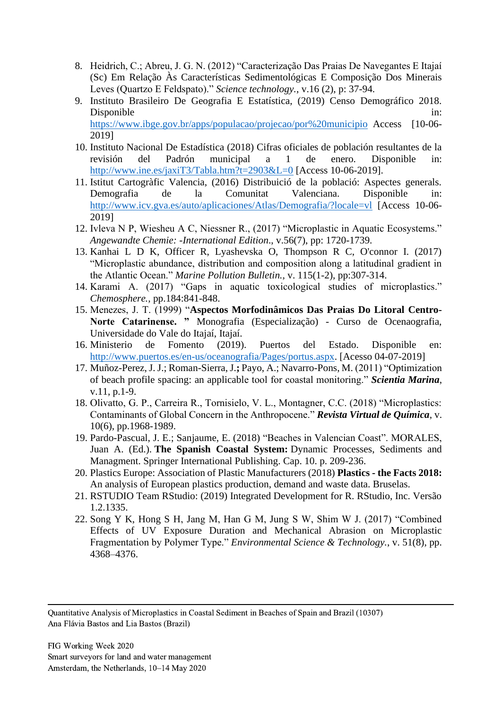- 8. Heidrich, C.; Abreu, J. G. N. (2012) "Caracterização Das Praias De Navegantes E Itajaí (Sc) Em Relação Às Características Sedimentológicas E Composição Dos Minerais Leves (Quartzo E Feldspato)." *Science technology.*, v.16 (2), p: 37-94.
- 9. Instituto Brasileiro De Geografia E Estatística, (2019) Censo Demográfico 2018. Disponible in: <https://www.ibge.gov.br/apps/populacao/projecao/por%20municipio>Access [10-06- 2019]
- 10. Instituto Nacional De Estadística (2018) Cifras oficiales de población resultantes de la revisión del Padrón municipal a 1 de enero. Disponible in: <http://www.ine.es/jaxiT3/Tabla.htm?t=2903&L=0> [Access 10-06-2019].
- 11. Istitut Cartogràfic Valencia, (2016) Distribuició de la població: Aspectes generals. Demografia de la Comunitat Valenciana. Disponible in: <http://www.icv.gva.es/auto/aplicaciones/Atlas/Demografia/?locale=vl> [Access 10-06-2019]
- 12. Ivleva N P, Wiesheu A C, Niessner R., (2017) "Microplastic in Aquatic Ecosystems." *Angewandte Chemie: -International Edition*., v.56(7), pp: 1720-1739.
- 13. Kanhai L D K, Officer R, Lyashevska O, Thompson R C, O'connor I. (2017) "Microplastic abundance, distribution and composition along a latitudinal gradient in the Atlantic Ocean." *Marine Pollution Bulletin.,* v. 115(1-2), pp:307-314.
- 14. Karami A. (2017) "Gaps in aquatic toxicological studies of microplastics." *Chemosphere.,* pp.184:841-848.
- 15. Menezes, J. T. (1999) "**Aspectos Morfodinâmicos Das Praias Do Litoral Centro-Norte Catarinense. "** Monografia (Especialização) - Curso de Ocenaografia, Universidade do Vale do Itajaí, Itajaí.
- 16. Ministerio de Fomento (2019). Puertos del Estado. Disponible en: [http://www.puertos.es/en-us/oceanografia/Pages/portus.aspx.](http://www.puertos.es/en-us/oceanografia/Pages/portus.aspx) [Acesso 04-07-2019]
- 17. Muñoz-Perez, J. J.; Roman-Sierra, J.**;** Payo, A.; Navarro-Pons, M. (2011) "Optimization of beach profile spacing: an applicable tool for coastal monitoring." *Scientia Marina*, v.11, p.1-9.
- 18. Olivatto, G. P., Carreira R., Tornisielo, V. L., Montagner, C.C. (2018) "Microplastics: Contaminants of Global Concern in the Anthropocene." *Revista Virtual de Química*, v. 10(6), pp.1968-1989.
- 19. Pardo-Pascual, J. E.; Sanjaume, E. (2018) "Beaches in Valencian Coast". MORALES, Juan A. (Ed.). **The Spanish Coastal System:** Dynamic Processes, Sediments and Managment. Springer International Publishing. Cap. 10. p. 209-236.
- 20. Plastics Europe: Association of Plastic Manufacturers (2018) **Plastics - the Facts 2018:**  An analysis of European plastics production, demand and waste data. Bruselas.
- 21. RSTUDIO Team RStudio: (2019) Integrated Development for R. RStudio, Inc. Versão 1.2.1335.
- 22. Song Y K, Hong S H, Jang M, Han G M, Jung S W, Shim W J. (2017) "Combined Effects of UV Exposure Duration and Mechanical Abrasion on Microplastic Fragmentation by Polymer Type." *Environmental Science & Technology.*, v. 51(8), pp. 4368–4376.

Quantitative Analysis of Microplastics in Coastal Sediment in Beaches of Spain and Brazil (10307) Ana Flávia Bastos and Lia Bastos (Brazil)